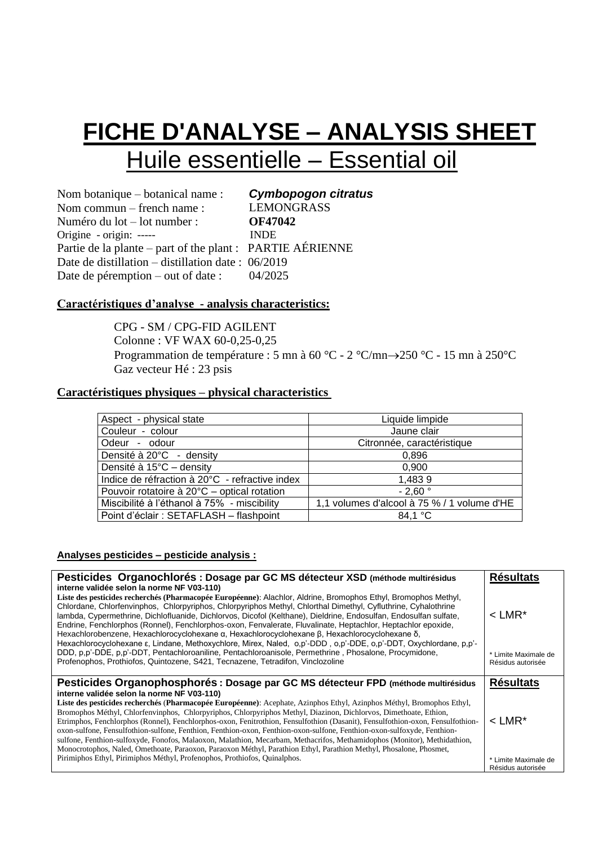# **FICHE D'ANALYSE – ANALYSIS SHEET** Huile essentielle – Essential oil

Nom botanique – botanical name : Nom commun – french name : Numéro du lot – lot number : Origine - origin: ----- Partie de la plante – part of the plant : PARTIE AÉRIENNE Date de distillation – distillation date : 06/2019 Date de péremption – out of date : 04/2025

 *Cymbopogon citratus* LEMONGRASS **OF47042**  INDE

### **Caractéristiques d'analyse - analysis characteristics:**

CPG - SM / CPG-FID AGILENT Colonne : VF WAX 60-0,25-0,25 Programmation de température : 5 mn à 60 °C - 2 °C/mn→250 °C - 15 mn à 250°C Gaz vecteur Hé : 23 psis

#### **Caractéristiques physiques – physical characteristics**

| Aspect - physical state                        | Liquide limpide                             |
|------------------------------------------------|---------------------------------------------|
| Couleur - colour                               | Jaune clair                                 |
| Odeur - odour                                  | Citronnée, caractéristique                  |
| Densité à 20°C - density                       | 0,896                                       |
| Densité à 15°C - density                       | 0,900                                       |
| Indice de réfraction à 20°C - refractive index | 1,4839                                      |
| Pouvoir rotatoire à 20°C – optical rotation    | $-2,60°$                                    |
| Miscibilité à l'éthanol à 75% - miscibility    | 1,1 volumes d'alcool à 75 % / 1 volume d'HE |
| Point d'éclair : SETAFLASH - flashpoint        | 84,1 °C                                     |

#### **Analyses pesticides – pesticide analysis :**

| Pesticides Organochlorés : Dosage par GC MS détecteur XSD (méthode multirésidus<br>interne validée selon la norme NF V03-110)                                                                                                                                                                                                                                                                                                                                                                                                                                                                                                                                                                                                                                                                           | <b>Résultats</b>                          |
|---------------------------------------------------------------------------------------------------------------------------------------------------------------------------------------------------------------------------------------------------------------------------------------------------------------------------------------------------------------------------------------------------------------------------------------------------------------------------------------------------------------------------------------------------------------------------------------------------------------------------------------------------------------------------------------------------------------------------------------------------------------------------------------------------------|-------------------------------------------|
| Liste des pesticides recherchés (Pharmacopée Européenne): Alachlor, Aldrine, Bromophos Ethyl, Bromophos Methyl,<br>Chlordane, Chlorfenvinphos, Chlorpyriphos, Chlorpyriphos Methyl, Chlorthal Dimethyl, Cyfluthrine, Cyhalothrine<br>lambda, Cypermethrine, Dichlofluanide, Dichlorvos, Dicofol (Kelthane), Dieldrine, Endosulfan, Endosulfan sulfate,<br>Endrine, Fenchlorphos (Ronnel), Fenchlorphos-oxon, Fenvalerate, Fluvalinate, Heptachlor, Heptachlor epoxide,<br>Hexachlorobenzene, Hexachlorocyclohexane $\alpha$ , Hexachlorocyclohexane $\beta$ , Hexachlorocyclohexane $\delta$ ,                                                                                                                                                                                                          | $<$ LMR <sup>*</sup>                      |
| Hexachlorocyclohexane ε, Lindane, Methoxychlore, Mirex, Naled, o.p'-DDD, o.p'-DDE, o.p'-DDT, Oxychlordane, p.p'-<br>DDD, p,p'-DDE, p,p'-DDT, Pentachloroaniline, Pentachloroanisole, Permethrine, Phosalone, Procymidone,<br>Profenophos, Prothiofos, Quintozene, S421, Tecnazene, Tetradifon, Vinclozoline                                                                                                                                                                                                                                                                                                                                                                                                                                                                                             | * Limite Maximale de<br>Résidus autorisée |
| Pesticides Organophosphorés : Dosage par GC MS détecteur FPD (méthode multirésidus                                                                                                                                                                                                                                                                                                                                                                                                                                                                                                                                                                                                                                                                                                                      | <b>Résultats</b>                          |
| interne validée selon la norme NF V03-110)<br>Liste des pesticides recherchés (Pharmacopée Européenne): Acephate, Azinphos Ethyl, Azinphos Méthyl, Bromophos Ethyl,<br>Bromophos Méthyl, Chlorfenvinphos, Chlorpyriphos, Chlorpyriphos Methyl, Diazinon, Dichlorvos, Dimethoate, Ethion,<br>Etrimphos, Fenchlorphos (Ronnel), Fenchlorphos-oxon, Fenitrothion, Fensulfothion (Dasanit), Fensulfothion-oxon, Fensulfothion-<br>oxon-sulfone, Fensulfothion-sulfone, Fenthion, Fenthion-oxon, Fenthion-oxon-sulfone, Fenthion-oxon-sulfoxyde, Fenthion-<br>sulfone, Fenthion-sulfoxyde, Fonofos, Malaoxon, Malathion, Mecarbam, Methacrifos, Methamidophos (Monitor), Methidathion,<br>Monocrotophos, Naled, Omethoate, Paraoxon, Paraoxon Méthyl, Parathion Ethyl, Parathion Methyl, Phosalone, Phosmet, | $<$ LMR*                                  |
| Pirimiphos Ethyl, Pirimiphos Méthyl, Profenophos, Prothiofos, Quinalphos.                                                                                                                                                                                                                                                                                                                                                                                                                                                                                                                                                                                                                                                                                                                               | * Limite Maximale de<br>Résidus autorisée |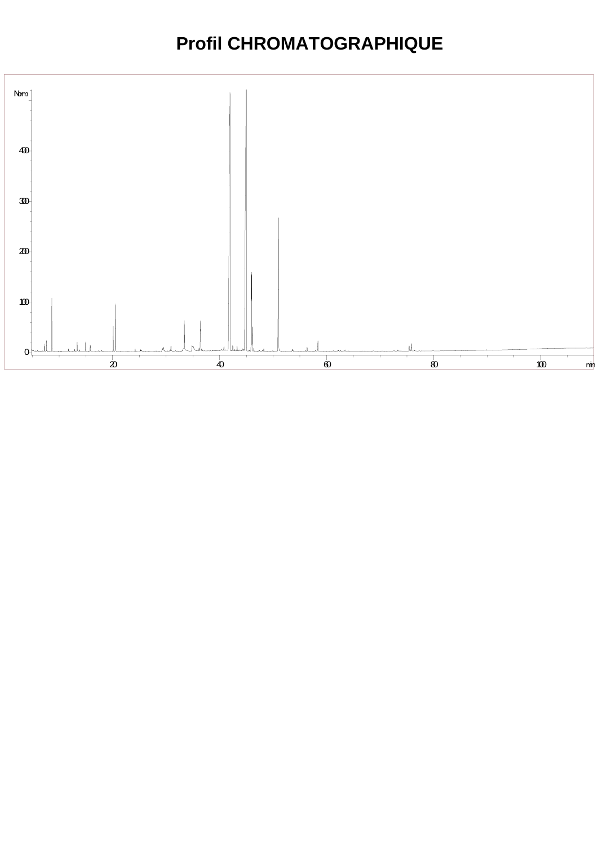### **Profil CHROMATOGRAPHIQUE**

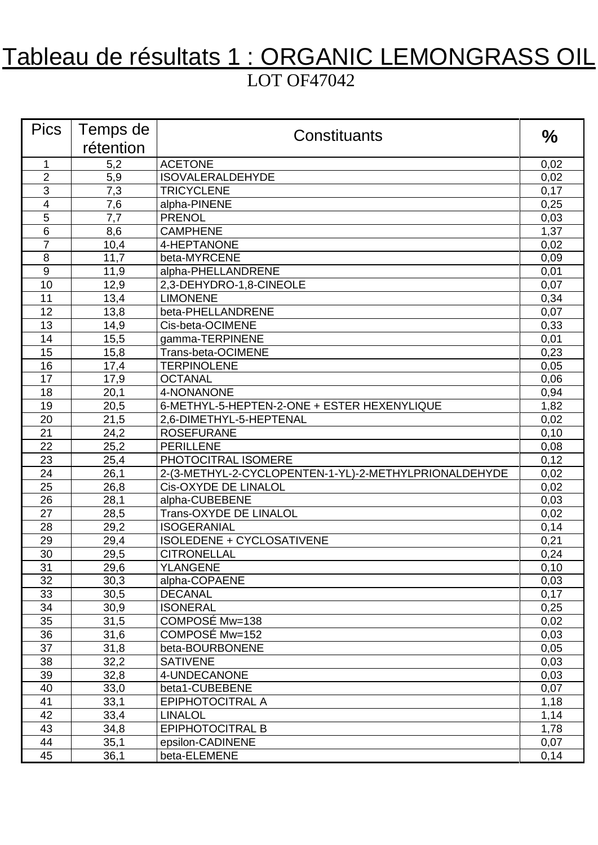# Tableau de résultats 1 : ORGANIC LEMONGRASS OIL LOT OF47042

| <b>Pics</b>    | Temps de  | Constituants                                          | $\frac{0}{0}$ |
|----------------|-----------|-------------------------------------------------------|---------------|
|                | rétention |                                                       |               |
| $\mathbf{1}$   | 5,2       | <b>ACETONE</b>                                        | 0,02          |
| $\overline{2}$ | 5,9       | <b>ISOVALERALDEHYDE</b>                               | 0,02          |
| 3              | 7,3       | <b>TRICYCLENE</b>                                     | 0,17          |
| 4              | 7,6       | alpha-PINENE                                          | 0,25          |
| 5              | 7,7       | <b>PRENOL</b>                                         | 0,03          |
| 6              | 8,6       | <b>CAMPHENE</b>                                       | 1,37          |
| $\overline{7}$ | 10,4      | 4-HEPTANONE                                           | 0,02          |
| 8              | 11,7      | beta-MYRCENE                                          | 0,09          |
| 9              | 11,9      | alpha-PHELLANDRENE                                    | 0,01          |
| 10             | 12,9      | 2,3-DEHYDRO-1,8-CINEOLE                               | 0,07          |
| 11             | 13,4      | <b>LIMONENE</b>                                       | 0,34          |
| 12             | 13,8      | beta-PHELLANDRENE                                     | 0,07          |
| 13             | 14,9      | Cis-beta-OCIMENE                                      | 0,33          |
| 14             | 15,5      | gamma-TERPINENE                                       | 0,01          |
| 15             | 15,8      | Trans-beta-OCIMENE                                    | 0,23          |
| 16             | 17,4      | <b>TERPINOLENE</b>                                    | 0,05          |
| 17             | 17,9      | <b>OCTANAL</b>                                        | 0,06          |
| 18             | 20,1      | 4-NONANONE                                            | 0,94          |
| 19             | 20,5      | 6-METHYL-5-HEPTEN-2-ONE + ESTER HEXENYLIQUE           | 1,82          |
| 20             | 21,5      | 2,6-DIMETHYL-5-HEPTENAL                               | 0,02          |
| 21             | 24,2      | <b>ROSEFURANE</b>                                     | 0,10          |
| 22             | 25,2      | <b>PERILLENE</b>                                      | 0,08          |
| 23             | 25,4      | PHOTOCITRAL ISOMERE                                   | 0,12          |
| 24             | 26,1      | 2-(3-METHYL-2-CYCLOPENTEN-1-YL)-2-METHYLPRIONALDEHYDE | 0,02          |
| 25             | 26,8      | Cis-OXYDE DE LINALOL                                  | 0,02          |
| 26             | 28,1      | alpha-CUBEBENE                                        | 0,03          |
| 27             | 28,5      | <b>Trans-OXYDE DE LINALOL</b>                         | 0,02          |
| 28             | 29,2      | <b>ISOGERANIAL</b>                                    | 0,14          |
| 29             | 29,4      | ISOLEDENE + CYCLOSATIVENE                             | 0,21          |
| 30             | 29,5      | <b>CITRONELLAL</b>                                    | 0,24          |
| 31             | 29,6      | <b>YLANGENE</b>                                       | 0,10          |
| 32             | 30,3      | alpha-COPAENE                                         | 0,03          |
| 33             | 30,5      | <b>DECANAL</b>                                        | 0,17          |
| 34             | 30,9      | <b>ISONERAL</b>                                       | 0,25          |
| 35             | 31,5      | COMPOSÉ Mw=138                                        | 0,02          |
| 36             | 31,6      | COMPOSÉ Mw=152                                        | 0,03          |
| 37             | 31,8      | beta-BOURBONENE                                       | 0,05          |
| 38             | 32,2      | <b>SATIVENE</b>                                       | 0,03          |
| 39             | 32,8      | 4-UNDECANONE                                          | 0,03          |
| 40             | 33,0      | beta1-CUBEBENE                                        | 0,07          |
| 41             | 33,1      | EPIPHOTOCITRAL A                                      | 1,18          |
| 42             | 33,4      | <b>LINALOL</b>                                        | 1,14          |
| 43             | 34,8      | EPIPHOTOCITRAL B                                      | 1,78          |
| 44             | 35,1      | epsilon-CADINENE                                      | 0,07          |
| 45             | 36,1      | beta-ELEMENE                                          | 0,14          |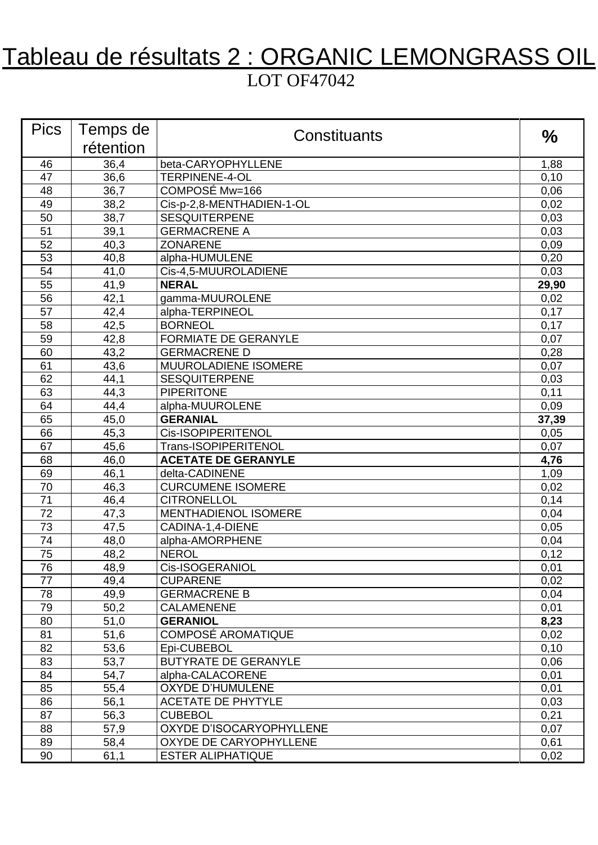# Tableau de résultats 2 : ORGANIC LEMONGRASS OIL LOT OF47042

| <b>Pics</b>     | Temps de     | Constituants                                | $\frac{0}{0}$ |
|-----------------|--------------|---------------------------------------------|---------------|
|                 | rétention    |                                             |               |
| 46              | 36,4         | beta-CARYOPHYLLENE                          | 1,88          |
| 47              | 36,6         | <b>TERPINENE-4-OL</b>                       | 0,10          |
| 48              | 36,7         | COMPOSÉ Mw=166                              | 0,06          |
| 49              | 38,2         | Cis-p-2,8-MENTHADIEN-1-OL                   | 0,02          |
| 50              | 38,7         | <b>SESQUITERPENE</b>                        | 0,03          |
| 51              | 39,1         | <b>GERMACRENE A</b>                         | 0,03          |
| 52              | 40,3         | <b>ZONARENE</b>                             | 0,09          |
| 53              | 40,8         | alpha-HUMULENE                              | 0,20          |
| 54              | 41,0         | Cis-4,5-MUUROLADIENE                        | 0,03          |
| 55              | 41,9         | <b>NERAL</b>                                | 29,90         |
| 56              | 42,1         | gamma-MUUROLENE                             | 0,02          |
| 57              | 42,4         | alpha-TERPINEOL                             | 0,17          |
| 58              | 42,5         | <b>BORNEOL</b>                              | 0,17          |
| 59              | 42,8         | <b>FORMIATE DE GERANYLE</b>                 | 0,07          |
| 60              | 43,2         | <b>GERMACRENE D</b>                         | 0,28          |
| 61              | 43,6         | MUUROLADIENE ISOMERE                        | 0,07          |
| 62              | 44,1         | <b>SESQUITERPENE</b>                        | 0,03          |
| 63              | 44,3         | <b>PIPERITONE</b>                           | 0,11          |
| 64              | 44,4         | alpha-MUUROLENE                             | 0,09          |
| 65              | 45,0         | <b>GERANIAL</b>                             | 37,39         |
| 66              | 45,3         | Cis-ISOPIPERITENOL                          | 0,05          |
| 67              | 45,6         | Trans-ISOPIPERITENOL                        | 0,07          |
| 68              | 46,0         | <b>ACETATE DE GERANYLE</b>                  | 4,76          |
| 69              | 46,1         | delta-CADINENE                              | 1,09          |
| 70              | 46,3         | <b>CURCUMENE ISOMERE</b>                    | 0,02          |
| 71              | 46,4         | <b>CITRONELLOL</b>                          | 0,14          |
| 72              | 47,3         | <b>MENTHADIENOL ISOMERE</b>                 | 0,04          |
| $\overline{73}$ | 47,5         | CADINA-1,4-DIENE                            | 0,05          |
| 74              | 48,0         | alpha-AMORPHENE                             | 0,04          |
| 75              | 48,2         | <b>NEROL</b>                                | 0,12          |
| 76              | 48,9         | Cis-ISOGERANIOL                             | 0,01          |
| 77              | 49,4         | <b>CUPARENE</b>                             | 0,02          |
| 78              | 49,9         | <b>GERMACRENE B</b>                         | 0,04          |
| 79              | 50,2         | <b>CALAMENENE</b>                           | 0,01          |
| 80              | 51,0         | <b>GERANIOL</b>                             | 8,23          |
| 81              | 51,6         | <b>COMPOSÉ AROMATIQUE</b>                   | 0,02          |
| 82              | 53,6         | Epi-CUBEBOL                                 | 0,10          |
| 83              | 53,7         | <b>BUTYRATE DE GERANYLE</b>                 | 0,06          |
| 84<br>85        | 54,7         | alpha-CALACORENE<br><b>OXYDE D'HUMULENE</b> | 0,01          |
| 86              | 55,4<br>56,1 | <b>ACETATE DE PHYTYLE</b>                   | 0,01          |
| 87              | 56,3         | <b>CUBEBOL</b>                              | 0,03          |
| 88              | 57,9         | OXYDE D'ISOCARYOPHYLLENE                    | 0,21<br>0,07  |
| 89              | 58,4         | OXYDE DE CARYOPHYLLENE                      | 0,61          |
| 90              |              | <b>ESTER ALIPHATIQUE</b>                    |               |
|                 | 61,1         |                                             | 0,02          |